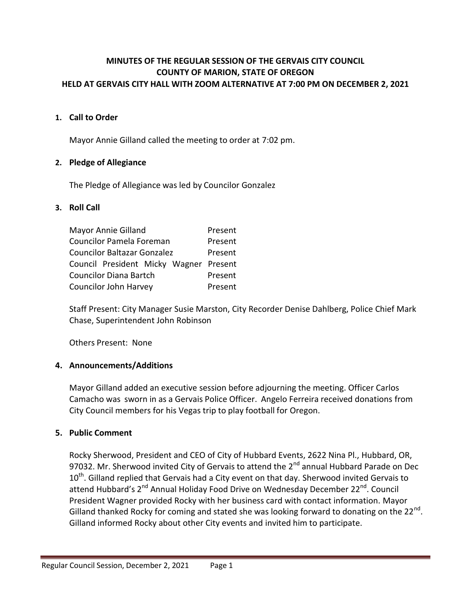### **MINUTES OF THE REGULAR SESSION OF THE GERVAIS CITY COUNCIL COUNTY OF MARION, STATE OF OREGON HELD AT GERVAIS CITY HALL WITH ZOOM ALTERNATIVE AT 7:00 PM ON DECEMBER 2, 2021**

### **1. Call to Order**

Mayor Annie Gilland called the meeting to order at 7:02 pm.

#### **2. Pledge of Allegiance**

The Pledge of Allegiance was led by Councilor Gonzalez

#### **3. Roll Call**

| Mayor Annie Gilland                    | Present |
|----------------------------------------|---------|
| Councilor Pamela Foreman               | Present |
| <b>Councilor Baltazar Gonzalez</b>     | Present |
| Council President Micky Wagner Present |         |
| <b>Councilor Diana Bartch</b>          | Present |
| Councilor John Harvey                  | Present |

Staff Present: City Manager Susie Marston, City Recorder Denise Dahlberg, Police Chief Mark Chase, Superintendent John Robinson

Others Present: None

### **4. Announcements/Additions**

Mayor Gilland added an executive session before adjourning the meeting. Officer Carlos Camacho was sworn in as a Gervais Police Officer. Angelo Ferreira received donations from City Council members for his Vegas trip to play football for Oregon.

#### **5. Public Comment**

Rocky Sherwood, President and CEO of City of Hubbard Events, 2622 Nina Pl., Hubbard, OR, 97032. Mr. Sherwood invited City of Gervais to attend the 2<sup>nd</sup> annual Hubbard Parade on Dec  $10^{\text{th}}$ . Gilland replied that Gervais had a City event on that day. Sherwood invited Gervais to attend Hubbard's 2<sup>nd</sup> Annual Holiday Food Drive on Wednesday December 22<sup>nd</sup>. Council President Wagner provided Rocky with her business card with contact information. Mayor Gilland thanked Rocky for coming and stated she was looking forward to donating on the 22<sup>nd</sup>. Gilland informed Rocky about other City events and invited him to participate.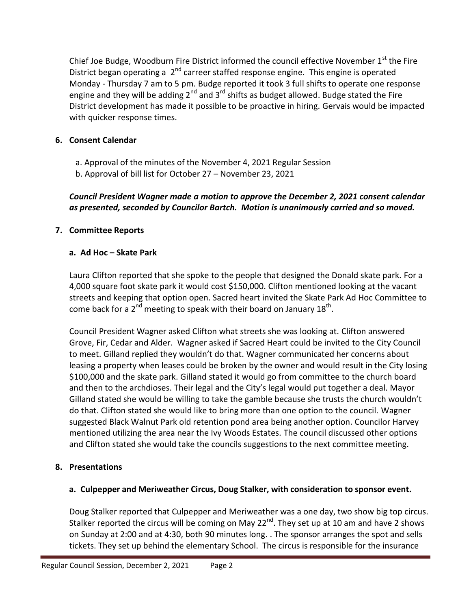Chief Joe Budge, Woodburn Fire District informed the council effective November 1<sup>st</sup> the Fire District began operating a 2<sup>nd</sup> carreer staffed response engine. This engine is operated Monday - Thursday 7 am to 5 pm. Budge reported it took 3 full shifts to operate one response engine and they will be adding  $2^{nd}$  and  $3^{rd}$  shifts as budget allowed. Budge stated the Fire District development has made it possible to be proactive in hiring. Gervais would be impacted with quicker response times.

# **6. Consent Calendar**

- a. Approval of the minutes of the November 4, 2021 Regular Session
- b. Approval of bill list for October 27 November 23, 2021

*Council President Wagner made a motion to approve the December 2, 2021 consent calendar as presented, seconded by Councilor Bartch. Motion is unanimously carried and so moved.*

# **7. Committee Reports**

## **a. Ad Hoc – Skate Park**

Laura Clifton reported that she spoke to the people that designed the Donald skate park. For a 4,000 square foot skate park it would cost \$150,000. Clifton mentioned looking at the vacant streets and keeping that option open. Sacred heart invited the Skate Park Ad Hoc Committee to come back for a 2<sup>nd</sup> meeting to speak with their board on January 18<sup>th</sup>.

Council President Wagner asked Clifton what streets she was looking at. Clifton answered Grove, Fir, Cedar and Alder. Wagner asked if Sacred Heart could be invited to the City Council to meet. Gilland replied they wouldn't do that. Wagner communicated her concerns about leasing a property when leases could be broken by the owner and would result in the City losing \$100,000 and the skate park. Gilland stated it would go from committee to the church board and then to the archdioses. Their legal and the City's legal would put together a deal. Mayor Gilland stated she would be willing to take the gamble because she trusts the church wouldn't do that. Clifton stated she would like to bring more than one option to the council. Wagner suggested Black Walnut Park old retention pond area being another option. Councilor Harvey mentioned utilizing the area near the Ivy Woods Estates. The council discussed other options and Clifton stated she would take the councils suggestions to the next committee meeting.

# **8. Presentations**

## **a. Culpepper and Meriweather Circus, Doug Stalker, with consideration to sponsor event.**

Doug Stalker reported that Culpepper and Meriweather was a one day, two show big top circus. Stalker reported the circus will be coming on May 22<sup>nd</sup>. They set up at 10 am and have 2 shows on Sunday at 2:00 and at 4:30, both 90 minutes long. . The sponsor arranges the spot and sells tickets. They set up behind the elementary School. The circus is responsible for the insurance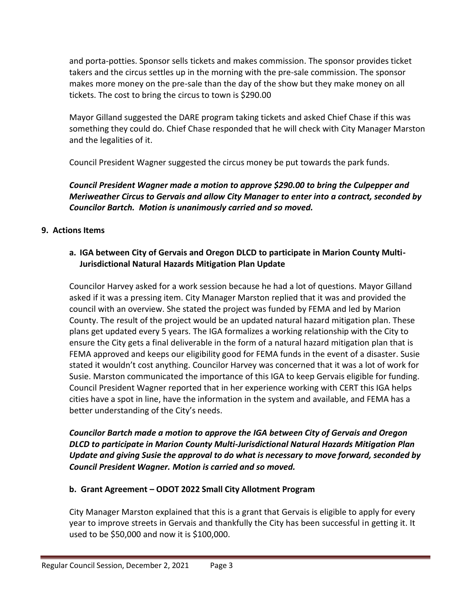and porta-potties. Sponsor sells tickets and makes commission. The sponsor provides ticket takers and the circus settles up in the morning with the pre-sale commission. The sponsor makes more money on the pre-sale than the day of the show but they make money on all tickets. The cost to bring the circus to town is \$290.00

Mayor Gilland suggested the DARE program taking tickets and asked Chief Chase if this was something they could do. Chief Chase responded that he will check with City Manager Marston and the legalities of it.

Council President Wagner suggested the circus money be put towards the park funds.

*Council President Wagner made a motion to approve \$290.00 to bring the Culpepper and Meriweather Circus to Gervais and allow City Manager to enter into a contract, seconded by Councilor Bartch. Motion is unanimously carried and so moved.*

## **9. Actions Items**

# **a. IGA between City of Gervais and Oregon DLCD to participate in Marion County Multi-Jurisdictional Natural Hazards Mitigation Plan Update**

Councilor Harvey asked for a work session because he had a lot of questions. Mayor Gilland asked if it was a pressing item. City Manager Marston replied that it was and provided the council with an overview. She stated the project was funded by FEMA and led by Marion County. The result of the project would be an updated natural hazard mitigation plan. These plans get updated every 5 years. The IGA formalizes a working relationship with the City to ensure the City gets a final deliverable in the form of a natural hazard mitigation plan that is FEMA approved and keeps our eligibility good for FEMA funds in the event of a disaster. Susie stated it wouldn't cost anything. Councilor Harvey was concerned that it was a lot of work for Susie. Marston communicated the importance of this IGA to keep Gervais eligible for funding. Council President Wagner reported that in her experience working with CERT this IGA helps cities have a spot in line, have the information in the system and available, and FEMA has a better understanding of the City's needs.

## *Councilor Bartch made a motion to approve the IGA between City of Gervais and Oregon DLCD to participate in Marion County Multi-Jurisdictional Natural Hazards Mitigation Plan Update and giving Susie the approval to do what is necessary to move forward, seconded by Council President Wagner. Motion is carried and so moved.*

## **b. Grant Agreement – ODOT 2022 Small City Allotment Program**

City Manager Marston explained that this is a grant that Gervais is eligible to apply for every year to improve streets in Gervais and thankfully the City has been successful in getting it. It used to be \$50,000 and now it is \$100,000.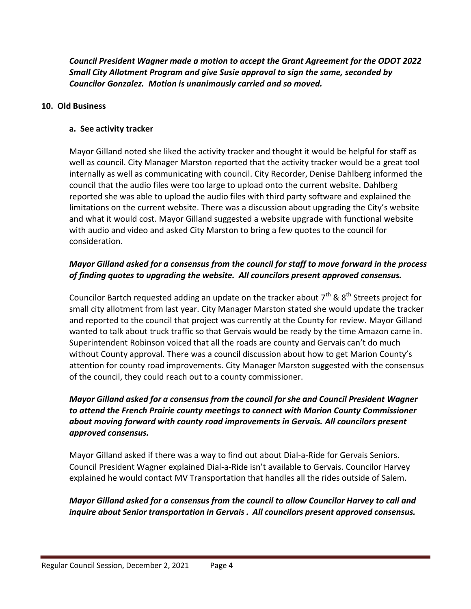*Council President Wagner made a motion to accept the Grant Agreement for the ODOT 2022 Small City Allotment Program and give Susie approval to sign the same, seconded by Councilor Gonzalez. Motion is unanimously carried and so moved.*

### **10. Old Business**

#### **a. See activity tracker**

Mayor Gilland noted she liked the activity tracker and thought it would be helpful for staff as well as council. City Manager Marston reported that the activity tracker would be a great tool internally as well as communicating with council. City Recorder, Denise Dahlberg informed the council that the audio files were too large to upload onto the current website. Dahlberg reported she was able to upload the audio files with third party software and explained the limitations on the current website. There was a discussion about upgrading the City's website and what it would cost. Mayor Gilland suggested a website upgrade with functional website with audio and video and asked City Marston to bring a few quotes to the council for consideration.

### *Mayor Gilland asked for a consensus from the council for staff to move forward in the process of finding quotes to upgrading the website. All councilors present approved consensus.*

Councilor Bartch requested adding an update on the tracker about  $7<sup>th</sup>$  &  $8<sup>th</sup>$  Streets proiect for small city allotment from last year. City Manager Marston stated she would update the tracker and reported to the council that project was currently at the County for review. Mayor Gilland wanted to talk about truck traffic so that Gervais would be ready by the time Amazon came in. Superintendent Robinson voiced that all the roads are county and Gervais can't do much without County approval. There was a council discussion about how to get Marion County's attention for county road improvements. City Manager Marston suggested with the consensus of the council, they could reach out to a county commissioner.

## *Mayor Gilland asked for a consensus from the council for she and Council President Wagner to attend the French Prairie county meetings to connect with Marion County Commissioner about moving forward with county road improvements in Gervais. All councilors present approved consensus.*

Mayor Gilland asked if there was a way to find out about Dial-a-Ride for Gervais Seniors. Council President Wagner explained Dial-a-Ride isn't available to Gervais. Councilor Harvey explained he would contact MV Transportation that handles all the rides outside of Salem.

## *Mayor Gilland asked for a consensus from the council to allow Councilor Harvey to call and inquire about Senior transportation in Gervais . All councilors present approved consensus.*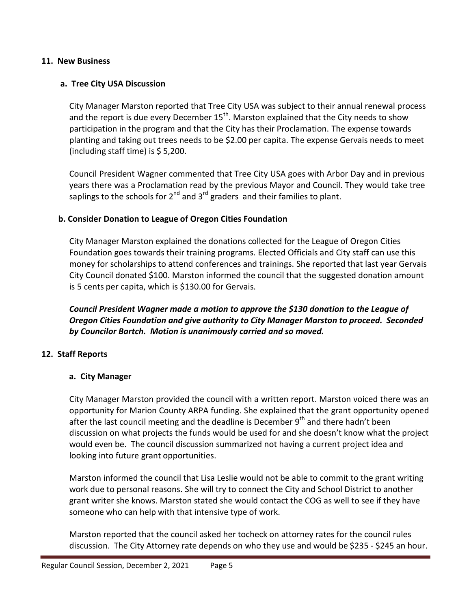#### **11. New Business**

### **a. Tree City USA Discussion**

City Manager Marston reported that Tree City USA was subject to their annual renewal process and the report is due every December 15<sup>th</sup>. Marston explained that the City needs to show participation in the program and that the City has their Proclamation. The expense towards planting and taking out trees needs to be \$2.00 per capita. The expense Gervais needs to meet (including staff time) is  $$5,200$ .

Council President Wagner commented that Tree City USA goes with Arbor Day and in previous years there was a Proclamation read by the previous Mayor and Council. They would take tree saplings to the schools for 2<sup>nd</sup> and 3<sup>rd</sup> graders and their families to plant.

#### **b. Consider Donation to League of Oregon Cities Foundation**

City Manager Marston explained the donations collected for the League of Oregon Cities Foundation goes towards their training programs. Elected Officials and City staff can use this money for scholarships to attend conferences and trainings. She reported that last year Gervais City Council donated \$100. Marston informed the council that the suggested donation amount is 5 cents per capita, which is \$130.00 for Gervais.

*Council President Wagner made a motion to approve the \$130 donation to the League of Oregon Cities Foundation and give authority to City Manager Marston to proceed. Seconded by Councilor Bartch. Motion is unanimously carried and so moved.*

#### **12. Staff Reports**

#### **a. City Manager**

City Manager Marston provided the council with a written report. Marston voiced there was an opportunity for Marion County ARPA funding. She explained that the grant opportunity opened after the last council meeting and the deadline is December 9<sup>th</sup> and there hadn't been discussion on what projects the funds would be used for and she doesn't know what the project would even be. The council discussion summarized not having a current project idea and looking into future grant opportunities.

Marston informed the council that Lisa Leslie would not be able to commit to the grant writing work due to personal reasons. She will try to connect the City and School District to another grant writer she knows. Marston stated she would contact the COG as well to see if they have someone who can help with that intensive type of work.

Marston reported that the council asked her tocheck on attorney rates for the council rules discussion. The City Attorney rate depends on who they use and would be \$235 - \$245 an hour.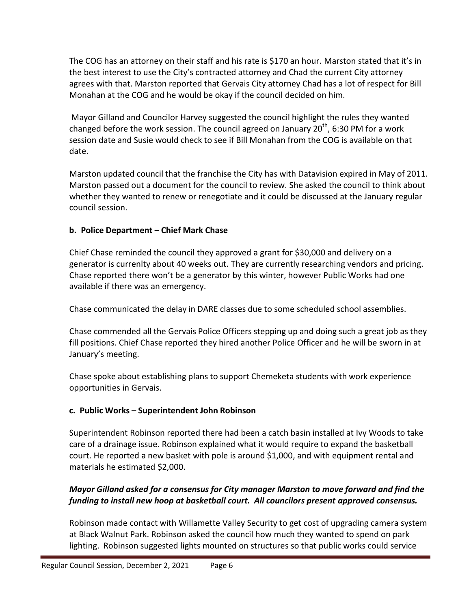The COG has an attorney on their staff and his rate is \$170 an hour. Marston stated that it's in the best interest to use the City's contracted attorney and Chad the current City attorney agrees with that. Marston reported that Gervais City attorney Chad has a lot of respect for Bill Monahan at the COG and he would be okay if the council decided on him.

Mayor Gilland and Councilor Harvey suggested the council highlight the rules they wanted changed before the work session. The council agreed on January 20<sup>th</sup>, 6:30 PM for a work session date and Susie would check to see if Bill Monahan from the COG is available on that date.

Marston updated council that the franchise the City has with Datavision expired in May of 2011. Marston passed out a document for the council to review. She asked the council to think about whether they wanted to renew or renegotiate and it could be discussed at the January regular council session.

# **b. Police Department – Chief Mark Chase**

Chief Chase reminded the council they approved a grant for \$30,000 and delivery on a generator is currenlty about 40 weeks out. They are currently researching vendors and pricing. Chase reported there won't be a generator by this winter, however Public Works had one available if there was an emergency.

Chase communicated the delay in DARE classes due to some scheduled school assemblies.

Chase commended all the Gervais Police Officers stepping up and doing such a great job as they fill positions. Chief Chase reported they hired another Police Officer and he will be sworn in at January's meeting.

Chase spoke about establishing plans to support Chemeketa students with work experience opportunities in Gervais.

# **c. Public Works – Superintendent John Robinson**

Superintendent Robinson reported there had been a catch basin installed at Ivy Woods to take care of a drainage issue. Robinson explained what it would require to expand the basketball court. He reported a new basket with pole is around \$1,000, and with equipment rental and materials he estimated \$2,000.

# *Mayor Gilland asked for a consensus for City manager Marston to move forward and find the funding to install new hoop at basketball court. All councilors present approved consensus.*

Robinson made contact with Willamette Valley Security to get cost of upgrading camera system at Black Walnut Park. Robinson asked the council how much they wanted to spend on park lighting. Robinson suggested lights mounted on structures so that public works could service